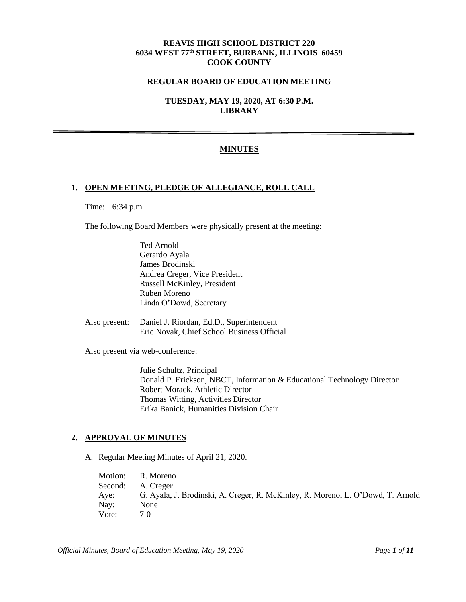# **REAVIS HIGH SCHOOL DISTRICT 220 6034 WEST 77th STREET, BURBANK, ILLINOIS 60459 COOK COUNTY**

# **REGULAR BOARD OF EDUCATION MEETING**

**TUESDAY, MAY 19, 2020, AT 6:30 P.M. LIBRARY**

## **MINUTES**

## **1. OPEN MEETING, PLEDGE OF ALLEGIANCE, ROLL CALL**

Time: 6:34 p.m.

The following Board Members were physically present at the meeting:

Ted Arnold Gerardo Ayala James Brodinski Andrea Creger, Vice President Russell McKinley, President Ruben Moreno Linda O'Dowd, Secretary

Also present: Daniel J. Riordan, Ed.D., Superintendent Eric Novak, Chief School Business Official

Also present via web-conference:

Julie Schultz, Principal Donald P. Erickson, NBCT, Information & Educational Technology Director Robert Morack, Athletic Director Thomas Witting, Activities Director Erika Banick, Humanities Division Chair

#### **2. APPROVAL OF MINUTES**

A. Regular Meeting Minutes of April 21, 2020.

Motion: R. Moreno Second: A. Creger Aye: G. Ayala, J. Brodinski, A. Creger, R. McKinley, R. Moreno, L. O'Dowd, T. Arnold Nay: None Vote: 7-0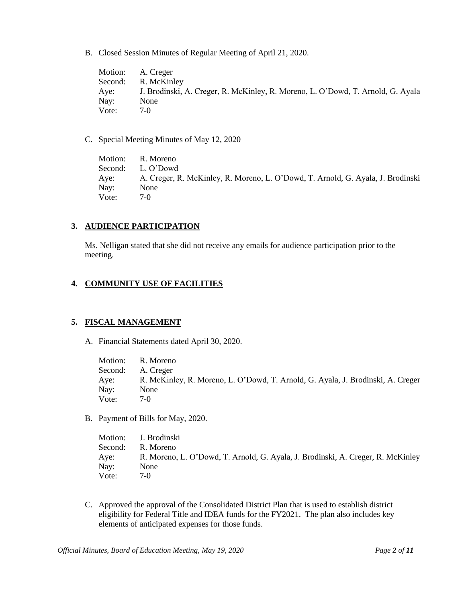B. Closed Session Minutes of Regular Meeting of April 21, 2020.

Motion: A. Creger Second: R. McKinley Aye: J. Brodinski, A. Creger, R. McKinley, R. Moreno, L. O'Dowd, T. Arnold, G. Ayala Nay: None Vote: 7-0

C. Special Meeting Minutes of May 12, 2020

Motion: R. Moreno Second: L. O'Dowd Aye: A. Creger, R. McKinley, R. Moreno, L. O'Dowd, T. Arnold, G. Ayala, J. Brodinski Nay: None Vote: 7-0

## **3. AUDIENCE PARTICIPATION**

Ms. Nelligan stated that she did not receive any emails for audience participation prior to the meeting.

## **4. COMMUNITY USE OF FACILITIES**

#### **5. FISCAL MANAGEMENT**

A. Financial Statements dated April 30, 2020.

Motion: R. Moreno Second: A. Creger Aye: R. McKinley, R. Moreno, L. O'Dowd, T. Arnold, G. Ayala, J. Brodinski, A. Creger Nay: None Vote: 7-0

B. Payment of Bills for May, 2020.

|         | Motion: J. Brodinski                                                            |
|---------|---------------------------------------------------------------------------------|
| Second: | R. Moreno                                                                       |
| Aye:    | R. Moreno, L. O'Dowd, T. Arnold, G. Ayala, J. Brodinski, A. Creger, R. McKinley |
| Nay:    | None                                                                            |
| Vote:   | $7-0$                                                                           |

C. Approved the approval of the Consolidated District Plan that is used to establish district eligibility for Federal Title and IDEA funds for the FY2021. The plan also includes key elements of anticipated expenses for those funds.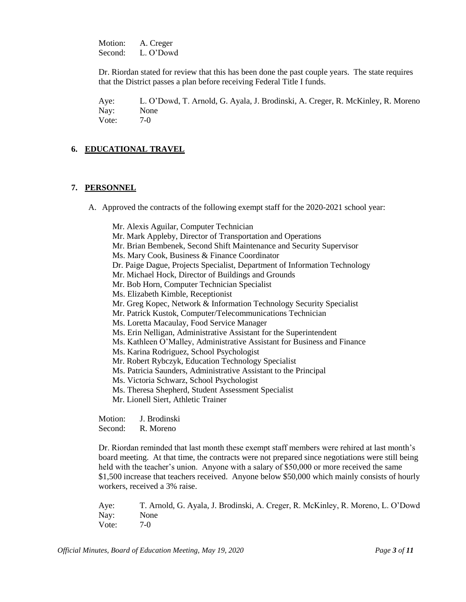Motion: A. Creger Second: L. O'Dowd

Dr. Riordan stated for review that this has been done the past couple years. The state requires that the District passes a plan before receiving Federal Title I funds.

Aye: L. O'Dowd, T. Arnold, G. Ayala, J. Brodinski, A. Creger, R. McKinley, R. Moreno Nay: None Vote: 7-0

## **6. EDUCATIONAL TRAVEL**

#### **7. PERSONNEL**

A. Approved the contracts of the following exempt staff for the 2020-2021 school year:

Mr. Alexis Aguilar, Computer Technician Mr. Mark Appleby, Director of Transportation and Operations Mr. Brian Bembenek, Second Shift Maintenance and Security Supervisor Ms. Mary Cook, Business & Finance Coordinator Dr. Paige Dague, Projects Specialist, Department of Information Technology Mr. Michael Hock, Director of Buildings and Grounds Mr. Bob Horn, Computer Technician Specialist Ms. Elizabeth Kimble, Receptionist Mr. Greg Kopec, Network & Information Technology Security Specialist Mr. Patrick Kustok, Computer/Telecommunications Technician Ms. Loretta Macaulay, Food Service Manager Ms. Erin Nelligan, Administrative Assistant for the Superintendent Ms. Kathleen O'Malley, Administrative Assistant for Business and Finance Ms. Karina Rodriguez, School Psychologist Mr. Robert Rybczyk, Education Technology Specialist Ms. Patricia Saunders, Administrative Assistant to the Principal Ms. Victoria Schwarz, School Psychologist Ms. Theresa Shepherd, Student Assessment Specialist Mr. Lionell Siert, Athletic Trainer

Motion: J. Brodinski Second: R. Moreno

Dr. Riordan reminded that last month these exempt staff members were rehired at last month's board meeting. At that time, the contracts were not prepared since negotiations were still being held with the teacher's union. Anyone with a salary of \$50,000 or more received the same \$1,500 increase that teachers received. Anyone below \$50,000 which mainly consists of hourly workers, received a 3% raise.

Aye: T. Arnold, G. Ayala, J. Brodinski, A. Creger, R. McKinley, R. Moreno, L. O'Dowd Nay: None Vote: 7-0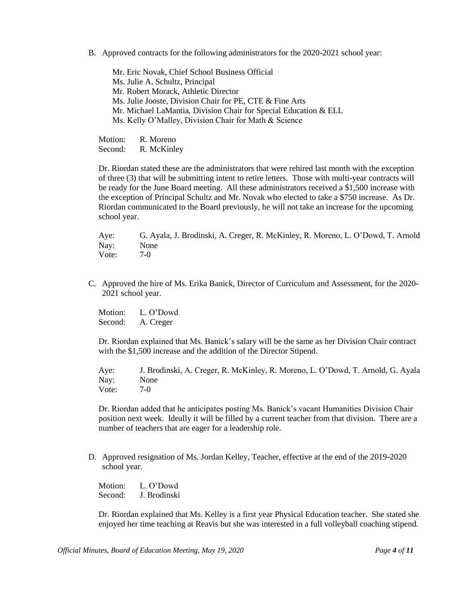B. Approved contracts for the following administrators for the 2020-2021 school year:

Mr. Eric Novak, Chief School Business Official Ms. Julie A. Schultz, Principal Mr. Robert Morack, Athletic Director Ms. Julie Jooste, Division Chair for PE, CTE & Fine Arts Mr. Michael LaMantia, Division Chair for Special Education & ELL Ms. Kelly O'Malley, Division Chair for Math & Science

Motion: R. Moreno Second: R. McKinley

Dr. Riordan stated these are the administrators that were rehired last month with the exception of three (3) that will be submitting intent to retire letters. Those with multi-year contracts will be ready for the June Board meeting. All these administrators received a \$1,500 increase with the exception of Principal Schultz and Mr. Novak who elected to take a \$750 increase. As Dr. Riordan communicated to the Board previously, he will not take an increase for the upcoming school year.

Aye: G. Ayala, J. Brodinski, A. Creger, R. McKinley, R. Moreno, L. O'Dowd, T. Arnold Nay: None Vote: 7-0

C. Approved the hire of Ms. Erika Banick, Director of Curriculum and Assessment, for the 2020- 2021 school year.

Motion: L. O'Dowd Second: A. Creger

Dr. Riordan explained that Ms. Banick's salary will be the same as her Division Chair contract with the \$1,500 increase and the addition of the Director Stipend.

Aye: J. Brodinski, A. Creger, R. McKinley, R. Moreno, L. O'Dowd, T. Arnold, G. Ayala Nay: None Vote: 7-0

Dr. Riordan added that he anticipates posting Ms. Banick's vacant Humanities Division Chair position next week. Ideally it will be filled by a current teacher from that division. There are a number of teachers that are eager for a leadership role.

D. Approved resignation of Ms. Jordan Kelley, Teacher, effective at the end of the 2019-2020 school year.

Motion: L. O'Dowd Second: J. Brodinski

Dr. Riordan explained that Ms. Kelley is a first year Physical Education teacher. She stated she enjoyed her time teaching at Reavis but she was interested in a full volleyball coaching stipend.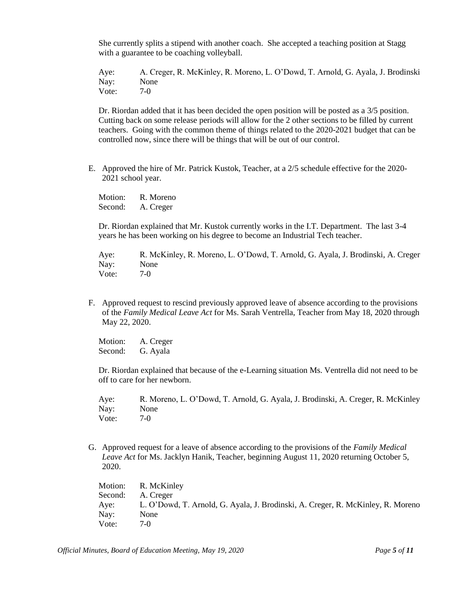She currently splits a stipend with another coach. She accepted a teaching position at Stagg with a guarantee to be coaching volleyball.

Aye: A. Creger, R. McKinley, R. Moreno, L. O'Dowd, T. Arnold, G. Ayala, J. Brodinski Nay: None Vote: 7-0

Dr. Riordan added that it has been decided the open position will be posted as a 3/5 position. Cutting back on some release periods will allow for the 2 other sections to be filled by current teachers. Going with the common theme of things related to the 2020-2021 budget that can be controlled now, since there will be things that will be out of our control.

E. Approved the hire of Mr. Patrick Kustok, Teacher, at a 2/5 schedule effective for the 2020- 2021 school year.

Motion: R. Moreno Second: A. Creger

Dr. Riordan explained that Mr. Kustok currently works in the I.T. Department. The last 3-4 years he has been working on his degree to become an Industrial Tech teacher.

Aye: R. McKinley, R. Moreno, L. O'Dowd, T. Arnold, G. Ayala, J. Brodinski, A. Creger Nay: None Vote: 7-0

F. Approved request to rescind previously approved leave of absence according to the provisions of the *Family Medical Leave Act* for Ms. Sarah Ventrella, Teacher from May 18, 2020 through May 22, 2020.

Motion: A. Creger Second: G. Ayala

Dr. Riordan explained that because of the e-Learning situation Ms. Ventrella did not need to be off to care for her newborn.

Aye: R. Moreno, L. O'Dowd, T. Arnold, G. Ayala, J. Brodinski, A. Creger, R. McKinley Nay: None Vote: 7-0

G. Approved request for a leave of absence according to the provisions of the *Family Medical Leave Act* for Ms. Jacklyn Hanik, Teacher, beginning August 11, 2020 returning October 5, 2020.

Motion: R. McKinley Second: A. Creger Aye: L. O'Dowd, T. Arnold, G. Ayala, J. Brodinski, A. Creger, R. McKinley, R. Moreno Nay: None Vote: 7-0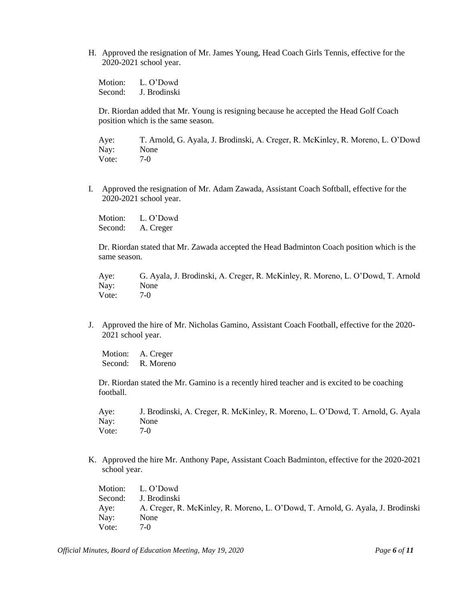H. Approved the resignation of Mr. James Young, Head Coach Girls Tennis, effective for the 2020-2021 school year.

Motion: L. O'Dowd Second: J. Brodinski

Dr. Riordan added that Mr. Young is resigning because he accepted the Head Golf Coach position which is the same season.

Aye: T. Arnold, G. Ayala, J. Brodinski, A. Creger, R. McKinley, R. Moreno, L. O'Dowd Nay: None Vote: 7-0

I. Approved the resignation of Mr. Adam Zawada, Assistant Coach Softball, effective for the 2020-2021 school year.

Motion: L. O'Dowd Second: A. Creger

Dr. Riordan stated that Mr. Zawada accepted the Head Badminton Coach position which is the same season.

Aye: G. Ayala, J. Brodinski, A. Creger, R. McKinley, R. Moreno, L. O'Dowd, T. Arnold Nay: None Vote: 7-0

J. Approved the hire of Mr. Nicholas Gamino, Assistant Coach Football, effective for the 2020- 2021 school year.

Motion: A. Creger Second: R. Moreno

Dr. Riordan stated the Mr. Gamino is a recently hired teacher and is excited to be coaching football.

Aye: J. Brodinski, A. Creger, R. McKinley, R. Moreno, L. O'Dowd, T. Arnold, G. Ayala Nay: None Vote: 7-0

K. Approved the hire Mr. Anthony Pape, Assistant Coach Badminton, effective for the 2020-2021 school year.

Motion: L. O'Dowd Second: J. Brodinski Aye: A. Creger, R. McKinley, R. Moreno, L. O'Dowd, T. Arnold, G. Ayala, J. Brodinski Nay: None Vote: 7-0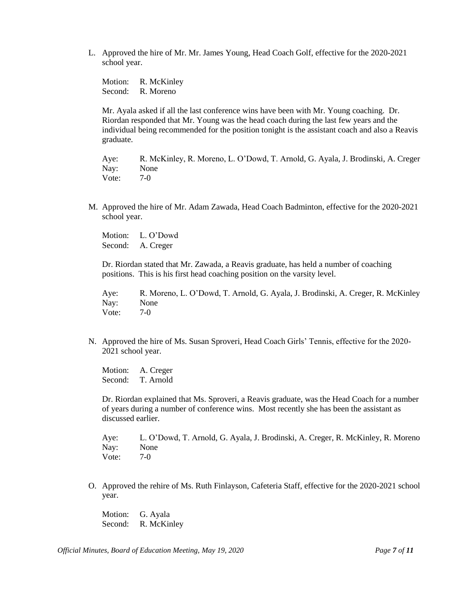L. Approved the hire of Mr. Mr. James Young, Head Coach Golf, effective for the 2020-2021 school year.

Motion: R. McKinley Second: R. Moreno

Mr. Ayala asked if all the last conference wins have been with Mr. Young coaching. Dr. Riordan responded that Mr. Young was the head coach during the last few years and the individual being recommended for the position tonight is the assistant coach and also a Reavis graduate.

Aye: R. McKinley, R. Moreno, L. O'Dowd, T. Arnold, G. Ayala, J. Brodinski, A. Creger Nay: None Vote: 7-0

M. Approved the hire of Mr. Adam Zawada, Head Coach Badminton, effective for the 2020-2021 school year.

Motion: L. O'Dowd Second: A. Creger

Dr. Riordan stated that Mr. Zawada, a Reavis graduate, has held a number of coaching positions. This is his first head coaching position on the varsity level.

Aye: R. Moreno, L. O'Dowd, T. Arnold, G. Ayala, J. Brodinski, A. Creger, R. McKinley Nay: None Vote: 7-0

N. Approved the hire of Ms. Susan Sproveri, Head Coach Girls' Tennis, effective for the 2020- 2021 school year.

Motion: A. Creger Second: T. Arnold

Dr. Riordan explained that Ms. Sproveri, a Reavis graduate, was the Head Coach for a number of years during a number of conference wins. Most recently she has been the assistant as discussed earlier.

Aye: L. O'Dowd, T. Arnold, G. Ayala, J. Brodinski, A. Creger, R. McKinley, R. Moreno Nay: None Vote: 7-0

O. Approved the rehire of Ms. Ruth Finlayson, Cafeteria Staff, effective for the 2020-2021 school year.

Motion: G. Ayala Second: R. McKinley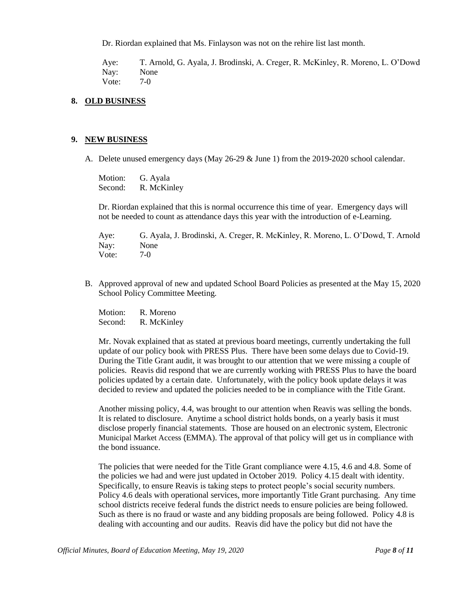Dr. Riordan explained that Ms. Finlayson was not on the rehire list last month.

Aye: T. Arnold, G. Ayala, J. Brodinski, A. Creger, R. McKinley, R. Moreno, L. O'Dowd Nay: None Vote: 7-0

### **8. OLD BUSINESS**

#### **9. NEW BUSINESS**

A. Delete unused emergency days (May 26-29 & June 1) from the 2019-2020 school calendar.

Motion: G. Ayala Second: R. McKinley

Dr. Riordan explained that this is normal occurrence this time of year. Emergency days will not be needed to count as attendance days this year with the introduction of e-Learning.

Aye: G. Ayala, J. Brodinski, A. Creger, R. McKinley, R. Moreno, L. O'Dowd, T. Arnold Nay: None Vote: 7-0

B. Approved approval of new and updated School Board Policies as presented at the May 15, 2020 School Policy Committee Meeting.

Motion: R. Moreno Second: R. McKinley

Mr. Novak explained that as stated at previous board meetings, currently undertaking the full update of our policy book with PRESS Plus. There have been some delays due to Covid-19. During the Title Grant audit, it was brought to our attention that we were missing a couple of policies. Reavis did respond that we are currently working with PRESS Plus to have the board policies updated by a certain date. Unfortunately, with the policy book update delays it was decided to review and updated the policies needed to be in compliance with the Title Grant.

Another missing policy, 4.4, was brought to our attention when Reavis was selling the bonds. It is related to disclosure. Anytime a school district holds bonds, on a yearly basis it must disclose properly financial statements. Those are housed on an electronic system, Electronic Municipal Market Access (EMMA). The approval of that policy will get us in compliance with the bond issuance.

The policies that were needed for the Title Grant compliance were 4.15, 4.6 and 4.8. Some of the policies we had and were just updated in October 2019. Policy 4.15 dealt with identity. Specifically, to ensure Reavis is taking steps to protect people's social security numbers. Policy 4.6 deals with operational services, more importantly Title Grant purchasing. Any time school districts receive federal funds the district needs to ensure policies are being followed. Such as there is no fraud or waste and any bidding proposals are being followed. Policy 4.8 is dealing with accounting and our audits. Reavis did have the policy but did not have the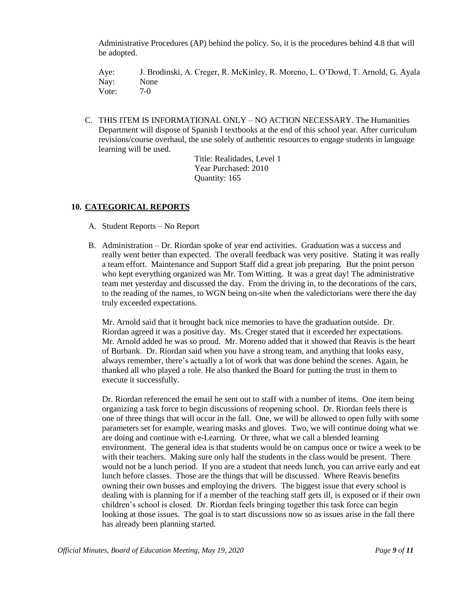Administrative Procedures (AP) behind the policy. So, it is the procedures behind 4.8 that will be adopted.

Aye: J. Brodinski, A. Creger, R. McKinley, R. Moreno, L. O'Dowd, T. Arnold, G. Ayala Nay: None Vote: 7-0

C. THIS ITEM IS INFORMATIONAL ONLY – NO ACTION NECESSARY. The Humanities Department will dispose of Spanish I textbooks at the end of this school year. After curriculum revisions/course overhaul, the use solely of authentic resources to engage students in language learning will be used.

> Title: Realidades, Level 1 Year Purchased: 2010 Quantity: 165

# **10. CATEGORICAL REPORTS**

- A. Student Reports No Report
- B. Administration Dr. Riordan spoke of year end activities. Graduation was a success and really went better than expected. The overall feedback was very positive. Stating it was really a team effort. Maintenance and Support Staff did a great job preparing. But the point person who kept everything organized was Mr. Tom Witting. It was a great day! The administrative team met yesterday and discussed the day. From the driving in, to the decorations of the cars, to the reading of the names, to WGN being on-site when the valedictorians were there the day truly exceeded expectations.

Mr. Arnold said that it brought back nice memories to have the graduation outside. Dr. Riordan agreed it was a positive day. Ms. Creger stated that it exceeded her expectations. Mr. Arnold added he was so proud. Mr. Moreno added that it showed that Reavis is the heart of Burbank. Dr. Riordan said when you have a strong team, and anything that looks easy, always remember, there's actually a lot of work that was done behind the scenes. Again, he thanked all who played a role. He also thanked the Board for putting the trust in them to execute it successfully.

Dr. Riordan referenced the email he sent out to staff with a number of items. One item being organizing a task force to begin discussions of reopening school. Dr. Riordan feels there is one of three things that will occur in the fall. One, we will be allowed to open fully with some parameters set for example, wearing masks and gloves. Two, we will continue doing what we are doing and continue with e-Learning. Or three, what we call a blended learning environment. The general idea is that students would be on campus once or twice a week to be with their teachers. Making sure only half the students in the class would be present. There would not be a lunch period. If you are a student that needs lunch, you can arrive early and eat lunch before classes. Those are the things that will be discussed. Where Reavis benefits owning their own busses and employing the drivers. The biggest issue that every school is dealing with is planning for if a member of the teaching staff gets ill, is exposed or if their own children's school is closed. Dr. Riordan feels bringing together this task force can begin looking at those issues. The goal is to start discussions now so as issues arise in the fall there has already been planning started.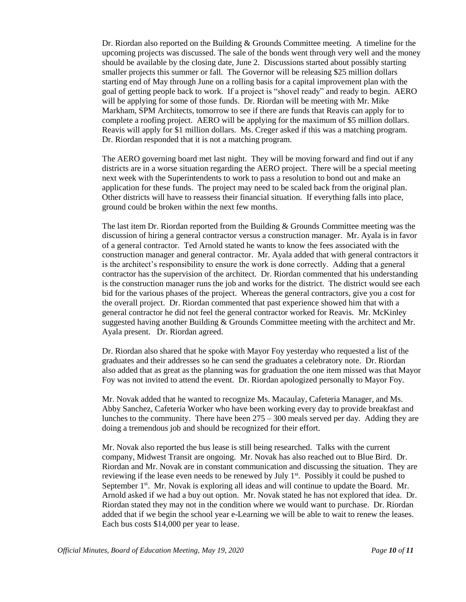Dr. Riordan also reported on the Building & Grounds Committee meeting. A timeline for the upcoming projects was discussed. The sale of the bonds went through very well and the money should be available by the closing date, June 2. Discussions started about possibly starting smaller projects this summer or fall. The Governor will be releasing \$25 million dollars starting end of May through June on a rolling basis for a capital improvement plan with the goal of getting people back to work. If a project is "shovel ready" and ready to begin. AERO will be applying for some of those funds. Dr. Riordan will be meeting with Mr. Mike Markham, SPM Architects, tomorrow to see if there are funds that Reavis can apply for to complete a roofing project. AERO will be applying for the maximum of \$5 million dollars. Reavis will apply for \$1 million dollars. Ms. Creger asked if this was a matching program. Dr. Riordan responded that it is not a matching program.

The AERO governing board met last night. They will be moving forward and find out if any districts are in a worse situation regarding the AERO project. There will be a special meeting next week with the Superintendents to work to pass a resolution to bond out and make an application for these funds. The project may need to be scaled back from the original plan. Other districts will have to reassess their financial situation. If everything falls into place, ground could be broken within the next few months.

The last item Dr. Riordan reported from the Building & Grounds Committee meeting was the discussion of hiring a general contractor versus a construction manager. Mr. Ayala is in favor of a general contractor. Ted Arnold stated he wants to know the fees associated with the construction manager and general contractor. Mr. Ayala added that with general contractors it is the architect's responsibility to ensure the work is done correctly. Adding that a general contractor has the supervision of the architect. Dr. Riordan commented that his understanding is the construction manager runs the job and works for the district. The district would see each bid for the various phases of the project. Whereas the general contractors, give you a cost for the overall project. Dr. Riordan commented that past experience showed him that with a general contractor he did not feel the general contractor worked for Reavis. Mr. McKinley suggested having another Building & Grounds Committee meeting with the architect and Mr. Ayala present. Dr. Riordan agreed.

Dr. Riordan also shared that he spoke with Mayor Foy yesterday who requested a list of the graduates and their addresses so he can send the graduates a celebratory note. Dr. Riordan also added that as great as the planning was for graduation the one item missed was that Mayor Foy was not invited to attend the event. Dr. Riordan apologized personally to Mayor Foy.

Mr. Novak added that he wanted to recognize Ms. Macaulay, Cafeteria Manager, and Ms. Abby Sanchez, Cafeteria Worker who have been working every day to provide breakfast and lunches to the community. There have been  $275 - 300$  meals served per day. Adding they are doing a tremendous job and should be recognized for their effort.

Mr. Novak also reported the bus lease is still being researched. Talks with the current company, Midwest Transit are ongoing. Mr. Novak has also reached out to Blue Bird. Dr. Riordan and Mr. Novak are in constant communication and discussing the situation. They are reviewing if the lease even needs to be renewed by July 1<sup>st</sup>. Possibly it could be pushed to September  $1<sup>st</sup>$ . Mr. Novak is exploring all ideas and will continue to update the Board. Mr. Arnold asked if we had a buy out option. Mr. Novak stated he has not explored that idea. Dr. Riordan stated they may not in the condition where we would want to purchase. Dr. Riordan added that if we begin the school year e-Learning we will be able to wait to renew the leases. Each bus costs \$14,000 per year to lease.